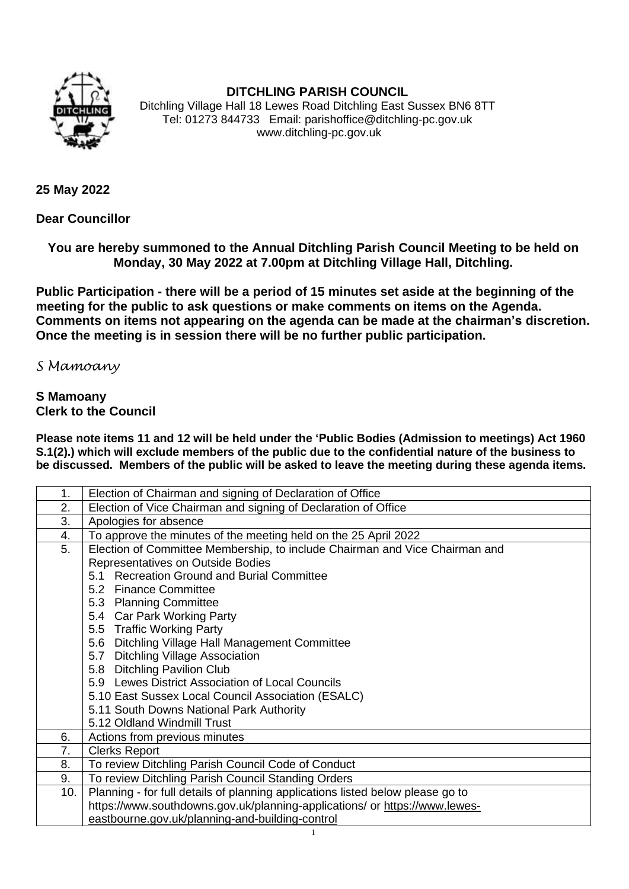

## **DITCHLING PARISH COUNCIL**

Ditchling Village Hall 18 Lewes Road Ditchling East Sussex BN6 8TT Tel: 01273 844733 Email: parishoffice@ditchling-pc.gov.uk www.ditchling-pc.gov.uk

**25 May 2022**

**Dear Councillor**

**You are hereby summoned to the Annual Ditchling Parish Council Meeting to be held on Monday, 30 May 2022 at 7.00pm at Ditchling Village Hall, Ditchling.**

**Public Participation - there will be a period of 15 minutes set aside at the beginning of the meeting for the public to ask questions or make comments on items on the Agenda. Comments on items not appearing on the agenda can be made at the chairman's discretion. Once the meeting is in session there will be no further public participation.**

*S Mamoany*

## **S Mamoany Clerk to the Council**

**Please note items 11 and 12 will be held under the 'Public Bodies (Admission to meetings) Act 1960 S.1(2).) which will exclude members of the public due to the confidential nature of the business to be discussed. Members of the public will be asked to leave the meeting during these agenda items.**

| 1.  | Election of Chairman and signing of Declaration of Office                      |
|-----|--------------------------------------------------------------------------------|
| 2.  | Election of Vice Chairman and signing of Declaration of Office                 |
| 3.  | Apologies for absence                                                          |
| 4.  | To approve the minutes of the meeting held on the 25 April 2022                |
| 5.  | Election of Committee Membership, to include Chairman and Vice Chairman and    |
|     | Representatives on Outside Bodies                                              |
|     | 5.1 Recreation Ground and Burial Committee                                     |
|     | 5.2 Finance Committee                                                          |
|     | 5.3 Planning Committee                                                         |
|     | 5.4 Car Park Working Party                                                     |
|     | 5.5 Traffic Working Party                                                      |
|     | 5.6 Ditchling Village Hall Management Committee                                |
|     | 5.7 Ditchling Village Association                                              |
|     | 5.8 Ditchling Pavilion Club                                                    |
|     | 5.9 Lewes District Association of Local Councils                               |
|     | 5.10 East Sussex Local Council Association (ESALC)                             |
|     | 5.11 South Downs National Park Authority                                       |
|     | 5.12 Oldland Windmill Trust                                                    |
| 6.  | Actions from previous minutes                                                  |
| 7.  | <b>Clerks Report</b>                                                           |
| 8.  | To review Ditchling Parish Council Code of Conduct                             |
| 9.  | To review Ditchling Parish Council Standing Orders                             |
| 10. | Planning - for full details of planning applications listed below please go to |
|     | https://www.southdowns.gov.uk/planning-applications/ or https://www.lewes-     |
|     | eastbourne.gov.uk/planning-and-building-control                                |
|     |                                                                                |